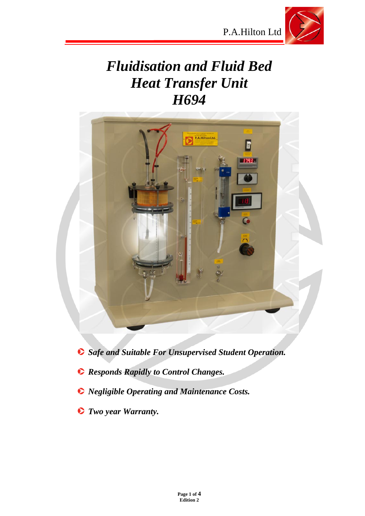

# *Fluidisation and Fluid Bed Heat Transfer Unit H694*



- *Safe and Suitable For Unsupervised Student Operation.*
- *Responds Rapidly to Control Changes.*
- *Negligible Operating and Maintenance Costs.*
- *Two year Warranty.*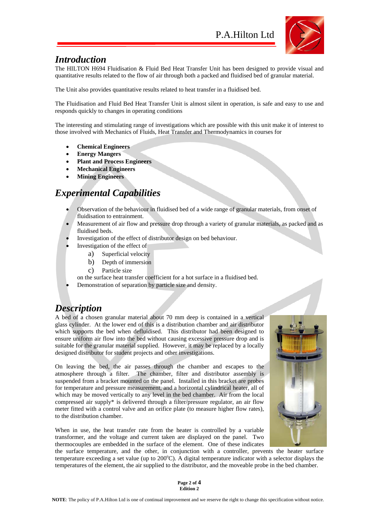

### *Introduction*

The HILTON H694 Fluidisation & Fluid Bed Heat Transfer Unit has been designed to provide visual and quantitative results related to the flow of air through both a packed and fluidised bed of granular material.

The Unit also provides quantitative results related to heat transfer in a fluidised bed.

The Fluidisation and Fluid Bed Heat Transfer Unit is almost silent in operation, is safe and easy to use and responds quickly to changes in operating conditions

The interesting and stimulating range of investigations which are possible with this unit make it of interest to those involved with Mechanics of Fluids, Heat Transfer and Thermodynamics in courses for

- **Chemical Engineers**
- **Energy Mangers**
- **Plant and Process Engineers**
- **Mechanical Engineers**
- **Mining Engineers**

# *Experimental Capabilities*

- Observation of the behaviour in fluidised bed of a wide range of granular materials, from onset of fluidisation to entrainment.
- Measurement of air flow and pressure drop through a variety of granular materials, as packed and as fluidised beds.
- Investigation of the effect of distributor design on bed behaviour.
	- Investigation of the effect of
		- a) Superficial velocity
		- b) Depth of immersion
		- c) Particle size
	- on the surface heat transfer coefficient for a hot surface in a fluidised bed.
- Demonstration of separation by particle size and density.

### *Description*

A bed of a chosen granular material about 70 mm deep is contained in a vertical glass cylinder. At the lower end of this is a distribution chamber and air distributor which supports the bed when defluidised. This distributor had been designed to ensure uniform air flow into the bed without causing excessive pressure drop and is suitable for the granular material supplied. However, it may be replaced by a locally designed distributor for student projects and other investigations.

On leaving the bed, the air passes through the chamber and escapes to the atmosphere through a filter. The chamber, filter and distributor assembly is suspended from a bracket mounted on the panel. Installed in this bracket are probes for temperature and pressure measurement, and a horizontal cylindrical heater, all of which may be moved vertically to any level in the bed chamber. Air from the local compressed air supply\* is delivered through a filter/pressure regulator, an air flow meter fitted with a control valve and an orifice plate (to measure higher flow rates), to the distribution chamber.

When in use, the heat transfer rate from the heater is controlled by a variable transformer, and the voltage and current taken are displayed on the panel. Two thermocouples are embedded in the surface of the element. One of these indicates



the surface temperature, and the other, in conjunction with a controller, prevents the heater surface temperature exceeding a set value (up to 200°C). A digital temperature indicator with a selector displays the temperatures of the element, the air supplied to the distributor, and the moveable probe in the bed chamber.

> **Page 2 of 4 Edition 2**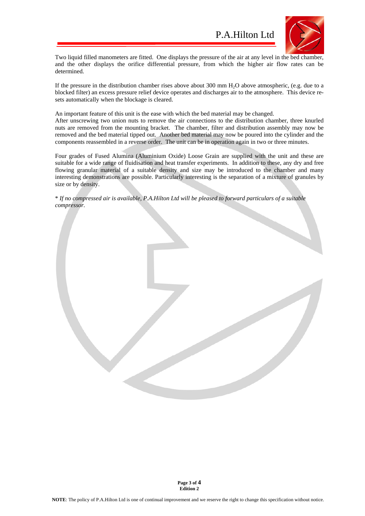

Two liquid filled manometers are fitted. One displays the pressure of the air at any level in the bed chamber, and the other displays the orifice differential pressure, from which the higher air flow rates can be determined.

If the pressure in the distribution chamber rises above about 300 mm H<sub>2</sub>O above atmospheric, (e.g. due to a blocked filter) an excess pressure relief device operates and discharges air to the atmosphere. This device resets automatically when the blockage is cleared.

An important feature of this unit is the ease with which the bed material may be changed.

After unscrewing two union nuts to remove the air connections to the distribution chamber, three knurled nuts are removed from the mounting bracket. The chamber, filter and distribution assembly may now be removed and the bed material tipped out. Another bed material may now be poured into the cylinder and the components reassembled in a reverse order. The unit can be in operation again in two or three minutes.

Four grades of Fused Alumina (Aluminium Oxide) Loose Grain are supplied with the unit and these are suitable for a wide range of fluidisation and heat transfer experiments. In addition to these, any dry and free flowing granular material of a suitable density and size may be introduced to the chamber and many interesting demonstrations are possible. Particularly interesting is the separation of a mixture of granules by size or by density.

\* *If no compressed air is available, P.A.Hilton Ltd will be pleased to forward particulars of a suitable compressor.*